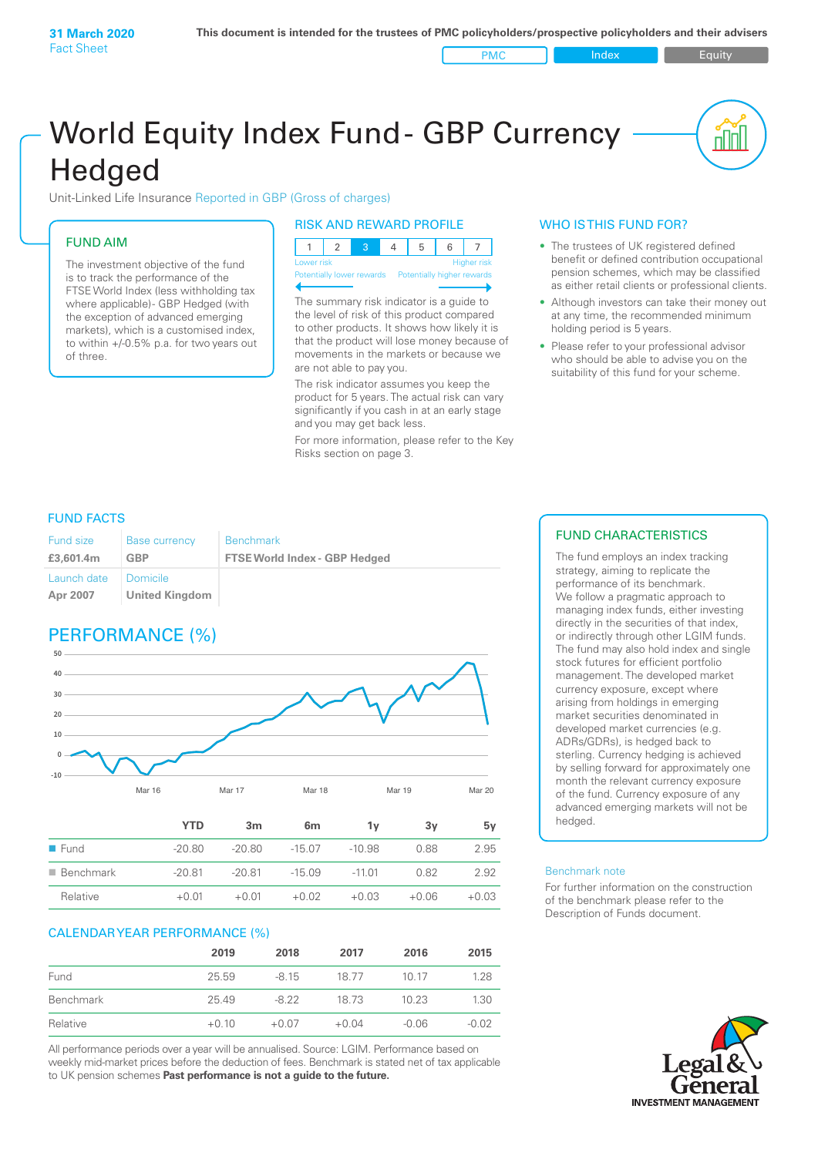PMC Index PMC Equity

# World Equity Index Fund- GBP Currency **Hedged**

Unit-Linked Life Insurance Reported in GBP (Gross of charges)

### FUND AIM

The investment objective of the fund is to track the performance of the FTSE World Index (less withholding tax where applicable) - GBP Hedged (with the exception of advanced emerging markets), which is a customised index, to within +/‑0.5% p.a. for two years out of three.

#### RISK AND REWARD PROFILE

| Lower risk |  |  | <b>Higher</b> risk |
|------------|--|--|--------------------|

ntially lower rewards

The summary risk indicator is a guide to the level of risk of this product compared to other products. It shows how likely it is that the product will lose money because of movements in the markets or because we are not able to pay you.

The risk indicator assumes you keep the product for 5 years. The actual risk can vary significantly if you cash in at an early stage and you may get back less.

For more information, please refer to the Key Risks section on page 3.

#### WHO IS THIS FUND FOR?

- The trustees of UK registered defined benefit or defined contribution occupational pension schemes, which may be classified as either retail clients or professional clients.
- Although investors can take their money out at any time, the recommended minimum holding period is 5 years.
- Please refer to your professional advisor who should be able to advise you on the suitability of this fund for your scheme.

#### FUND FACTS

| <b>Fund size</b>        | <b>Base currency</b>              | <b>Benchmark</b>                     |
|-------------------------|-----------------------------------|--------------------------------------|
| £3,601.4m               | GBP                               | <b>FTSE World Index - GBP Hedged</b> |
| Launch date<br>Apr 2007 | Domicile<br><b>United Kingdom</b> |                                      |

## PERFORMANCE (%)



|                          | <b>YTD</b> | 3m       | 6 <sub>m</sub> | 1ν       | 3v      | 5ν      |
|--------------------------|------------|----------|----------------|----------|---------|---------|
| $\blacksquare$ Fund      | $-20.80$   | $-20.80$ | $-15.07$       | $-10.98$ | 0.88    | 2.95    |
| $\blacksquare$ Benchmark | $-20.81$   | $-20.81$ | $-15.09$       | $-11.01$ | 0.82    | 2.92    |
| Relative                 | $+0.01$    | $+0.01$  | $+0.02$        | $+0.03$  | $+0.06$ | $+0.03$ |

#### CALENDAR YEAR PERFORMANCE (%)

|           | 2019    | 2018    | 2017    | 2016    | 2015    |
|-----------|---------|---------|---------|---------|---------|
| Fund      | 25.59   | $-8.15$ | 18.77   | 10 17   | 1.28    |
| Benchmark | 25.49   | $-8.22$ | 18 73   | 10.23   | 1.30    |
| Relative  | $+0.10$ | $+0.07$ | $+0.04$ | $-0.06$ | $-0.02$ |

All performance periods over a year will be annualised. Source: LGIM. Performance based on weekly mid-market prices before the deduction of fees. Benchmark is stated net of tax applicable to UK pension schemes **Past performance is not a guide to the future.**

#### FUND CHARACTERISTICS

The fund employs an index tracking strategy, aiming to replicate the performance of its benchmark. We follow a pragmatic approach to managing index funds, either investing directly in the securities of that index, or indirectly through other LGIM funds. The fund may also hold index and single stock futures for efficient portfolio management. The developed market currency exposure, except where arising from holdings in emerging market securities denominated in developed market currencies (e.g. ADRs/GDRs), is hedged back to sterling. Currency hedging is achieved by selling forward for approximately one month the relevant currency exposure of the fund. Currency exposure of any advanced emerging markets will not be hedged.

#### Benchmark note

For further information on the construction of the benchmark please refer to the Description of Funds document.

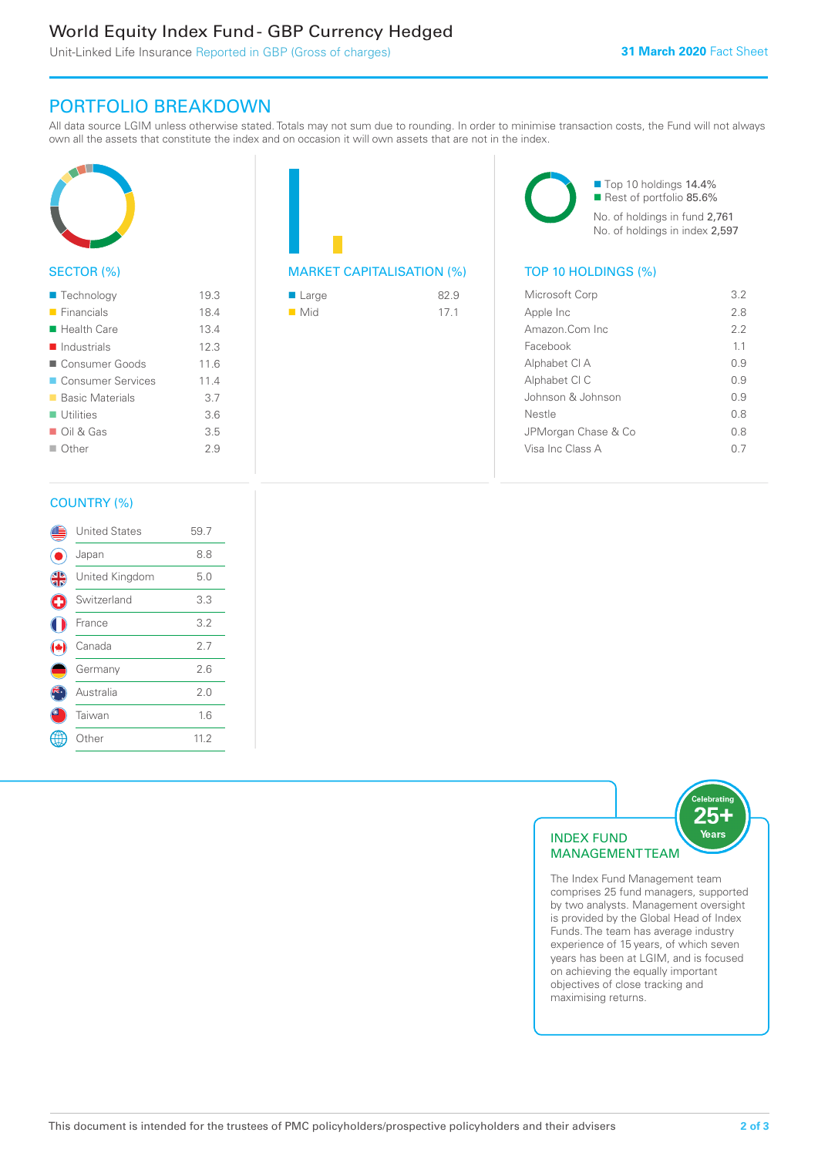### World Equity Index Fund - GBP Currency Hedged

Unit-Linked Life Insurance Reported in GBP (Gross of charges)

### PORTFOLIO BREAKDOWN

All data source LGIM unless otherwise stated. Totals may not sum due to rounding. In order to minimise transaction costs, the Fund will not always own all the assets that constitute the index and on occasion it will own assets that are not in the index.



#### SECTOR (%)

| $\blacksquare$ Technology  | 19.3 |
|----------------------------|------|
| $\blacksquare$ Financials  | 18.4 |
| $\blacksquare$ Health Care | 13.4 |
| Industrials                | 12.3 |
| ■ Consumer Goods           | 11.6 |
| ■ Consumer Services        | 114  |
| ■ Basic Materials          | 3.7  |
| $\blacksquare$ Utilities   | 3.6  |
| $\Box$ Oil & Gas           | 3.5  |
| $\Box$ Other               | 29   |
|                            |      |



| $\blacksquare$ Large | 82.9 |
|----------------------|------|
| $\blacksquare$ Mid   | 17.1 |

■ Top 10 holdings 14.4% Rest of portfolio 85.6% No. of holdings in fund 2,761 No. of holdings in index 2,597

| Microsoft Corp      | 32  |
|---------------------|-----|
| Apple Inc           | 28  |
| Amazon Com Inc      | 22  |
| Facebook            | 11  |
| Alphabet CI A       | O 9 |
| Alphabet CI C       | 0.9 |
| Johnson & Johnson   | O 9 |
| Nestle              | 0 S |
| JPMorgan Chase & Co | 0 S |
| Visa Inc Class A    |     |
|                     |     |

#### COUNTRY (%)

|               | <b>United States</b> | 59.7 |  |
|---------------|----------------------|------|--|
|               | Japan                | 8.8  |  |
| $\frac{4}{5}$ | United Kingdom       | 5.0  |  |
| G             | Switzerland          | 3.3  |  |
|               | France               | 3.2  |  |
|               | Canada               | 2.7  |  |
|               | Germany              | 2.6  |  |
|               | Australia            | 2.0  |  |
|               | Taiwan               | 1.6  |  |
|               | Other                | 11.2 |  |
|               |                      |      |  |



The Index Fund Management team comprises 25 fund managers, supported by two analysts. Management oversight is provided by the Global Head of Index Funds. The team has average industry experience of 15 years, of which seven years has been at LGIM, and is focused on achieving the equally important objectives of close tracking and maximising returns.